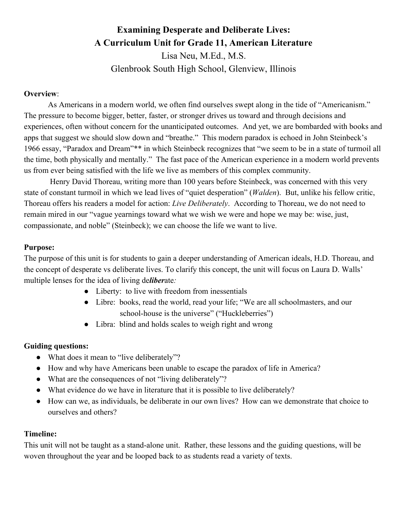# **Examining Desperate and Deliberate Lives: A Curriculum Unit for Grade 11, American Literature**

Lisa Neu, M.Ed., M.S. Glenbrook South High School, Glenview, Illinois

#### **Overview**:

As Americans in a modern world, we often find ourselves swept along in the tide of "Americanism." The pressure to become bigger, better, faster, or stronger drives us toward and through decisions and experiences, often without concern for the unanticipated outcomes. And yet, we are bombarded with books and apps that suggest we should slow down and "breathe." This modern paradox is echoed in John Steinbeck's 1966 essay, "Paradox and Dream"\*\* in which Steinbeck recognizes that "we seem to be in a state of turmoil all the time, both physically and mentally." The fast pace of the American experience in a modern world prevents us from ever being satisfied with the life we live as members of this complex community.

 Henry David Thoreau, writing more than 100 years before Steinbeck, was concerned with this very state of constant turmoil in which we lead lives of "quiet desperation" (*Walden*). But, unlike his fellow critic, Thoreau offers his readers a model for action: *Live Deliberately*. According to Thoreau, we do not need to remain mired in our "vague yearnings toward what we wish we were and hope we may be: wise, just, compassionate, and noble" (Steinbeck); we can choose the life we want to live.

#### **Purpose:**

The purpose of this unit is for students to gain a deeper understanding of American ideals, H.D. Thoreau, and the concept of desperate vs deliberate lives. To clarify this concept, the unit will focus on Laura D. Walls' multiple lenses for the idea of living de*liber*ate*:*

- Liberty: to live with freedom from inessentials
- Libre: books, read the world, read your life; "We are all schoolmasters, and our school-house is the universe" ("Huckleberries")
- Libra: blind and holds scales to weigh right and wrong

### **Guiding questions:**

- What does it mean to "live deliberately"?
- How and why have Americans been unable to escape the paradox of life in America?
- What are the consequences of not "living deliberately"?
- What evidence do we have in literature that it is possible to live deliberately?
- How can we, as individuals, be deliberate in our own lives? How can we demonstrate that choice to ourselves and others?

#### **Timeline:**

This unit will not be taught as a stand-alone unit. Rather, these lessons and the guiding questions, will be woven throughout the year and be looped back to as students read a variety of texts.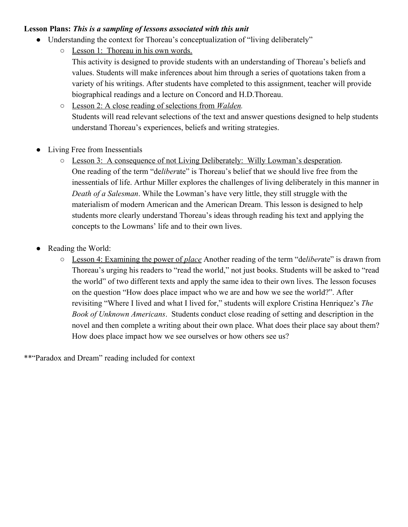#### **Lesson Plans:** *This is a sampling of lessons associated with this unit*

- Understanding the context for Thoreau's conceptualization of "living deliberately"
	- Lesson 1: Thoreau in his own words. This activity is designed to provide students with an understanding of Thoreau's beliefs and values. Students will make inferences about him through a series of quotations taken from a variety of his writings. After students have completed to this assignment, teacher will provide biographical readings and a lecture on Concord and H.D.Thoreau.
	- Lesson 2: A close reading of selections from *Walden.* Students will read relevant selections of the text and answer questions designed to help students understand Thoreau's experiences, beliefs and writing strategies.
- Living Free from Inessentials
	- Lesson 3: A consequence of not Living Deliberately: Willy Lowman's desperation. One reading of the term "de*liber*ate" is Thoreau's belief that we should live free from the inessentials of life. Arthur Miller explores the challenges of living deliberately in this manner in *Death of a Salesman*. While the Lowman's have very little, they still struggle with the materialism of modern American and the American Dream. This lesson is designed to help students more clearly understand Thoreau's ideas through reading his text and applying the concepts to the Lowmans' life and to their own lives.
- Reading the World:
	- Lesson 4: Examining the power of *place* Another reading of the term "de*liber*ate" is drawn from Thoreau's urging his readers to "read the world," not just books. Students will be asked to "read the world" of two different texts and apply the same idea to their own lives. The lesson focuses on the question "How does place impact who we are and how we see the world?". After revisiting "Where I lived and what I lived for," students will explore Cristina Henriquez's *The Book of Unknown Americans*. Students conduct close reading of setting and description in the novel and then complete a writing about their own place. What does their place say about them? How does place impact how we see ourselves or how others see us?

\*\*"Paradox and Dream" reading included for context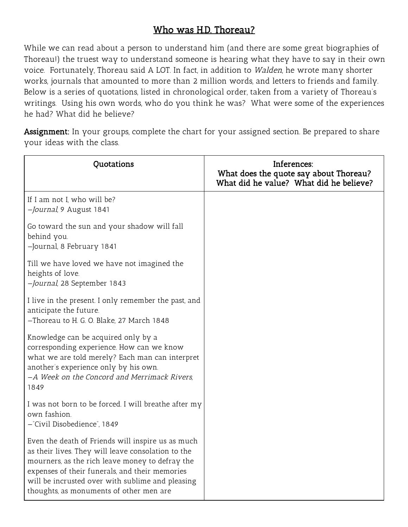# Who was H.D. Thoreau?

While we can read about a person to understand him (and there are some great biographies of Thoreau!) the truest way to understand someone is hearing what they have to say in their own voice. Fortunately, Thoreau said A LOT. In fact, in addition to Walden, he wrote many shorter works, journals that amounted to more than 2 million words, and letters to friends and family. Below is a series of quotations, listed in chronological order, taken from a variety of Thoreau's writings. Using his own words, who do you think he was? What were some of the experiences he had? What did he believe?

Assignment: In your groups, complete the chart for your assigned section. Be prepared to share your ideas with the class.

| Quotations                                                                                                                                                                                                                                                                                                  | Inferences:<br>What does the quote say about Thoreau?<br>What did he value? What did he believe? |
|-------------------------------------------------------------------------------------------------------------------------------------------------------------------------------------------------------------------------------------------------------------------------------------------------------------|--------------------------------------------------------------------------------------------------|
| If I am not I, who will be?<br>-Journal, 9 August 1841                                                                                                                                                                                                                                                      |                                                                                                  |
| Go toward the sun and your shadow will fall<br>behind you.<br>-Journal, 8 February 1841                                                                                                                                                                                                                     |                                                                                                  |
| Till we have loved we have not imagined the<br>heights of love.<br>-Journal, 28 September 1843                                                                                                                                                                                                              |                                                                                                  |
| I live in the present. I only remember the past, and<br>anticipate the future.<br>-Thoreau to H. G. O. Blake, 27 March 1848                                                                                                                                                                                 |                                                                                                  |
| Knowledge can be acquired only by a<br>corresponding experience. How can we know<br>what we are told merely? Each man can interpret<br>another's experience only by his own.<br>-A Week on the Concord and Merrimack Rivers.<br>1849                                                                        |                                                                                                  |
| I was not born to be forced. I will breathe after my<br>own fashion.<br>-"Civil Disobedience", 1849                                                                                                                                                                                                         |                                                                                                  |
| Even the death of Friends will inspire us as much<br>as their lives. They will leave consolation to the<br>mourners, as the rich leave money to defray the<br>expenses of their funerals, and their memories<br>will be incrusted over with sublime and pleasing<br>thoughts, as monuments of other men are |                                                                                                  |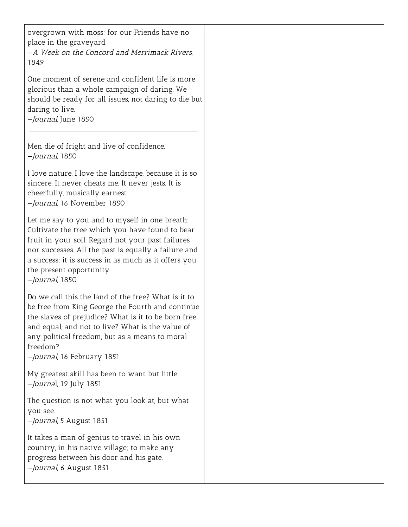overgrown with moss; for our Friends have no place in the graveyard. —A Week on the Concord and Merrimack Rivers, 1849

One moment of serene and confident life is more glorious than a whole campaign of daring. We should be ready for all issues, not daring to die but daring to live.

—Journal, June 1850

Men die of fright and live of confidence. —Journal, 1850

I love nature, I love the landscape, because it is so sincere. It never cheats me. It never jests. It is cheerfully, musically earnest. —Journal, 16 November 1850

Let me say to you and to myself in one breath: Cultivate the tree which you have found to bear fruit in your soil. Regard not your past failures nor successes. All the past is equally a failure and a success; it is success in as much as it offers you the present opportunity. —Journal, 1850

Do we call this the land of the free? What is it to be free from King George the Fourth and continue

the slaves of prejudice? What is it to be born free and equal, and not to live? What is the value of any political freedom, but as a means to moral freedom?

—Journal, 16 February 1851

My greatest skill has been to want but little. —Journal, 19 July 1851

The question is not what you look at, but what you see.

—Journal, 5 August 1851

It takes a man of genius to travel in his own country, in his native village; to make any progress between his door and his gate. —Journal, 6 August 1851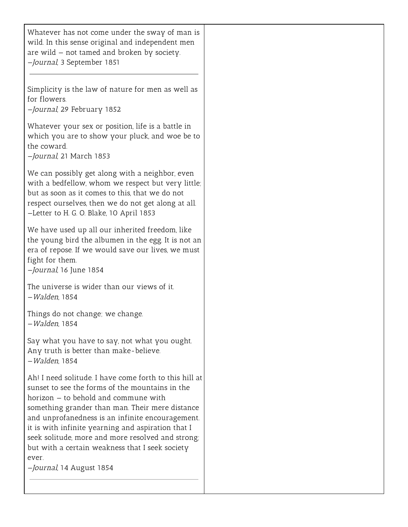| Whatever has not come under the sway of man is<br>wild. In this sense original and independent men<br>are wild $-$ not tamed and broken by society.<br>-Journal, 3 September 1851                                                                                                                                                                                                                                               |
|---------------------------------------------------------------------------------------------------------------------------------------------------------------------------------------------------------------------------------------------------------------------------------------------------------------------------------------------------------------------------------------------------------------------------------|
| Simplicity is the law of nature for men as well as<br>for flowers.<br>-Journal, 29 February 1852                                                                                                                                                                                                                                                                                                                                |
| Whatever your sex or position, life is a battle in<br>which you are to show your pluck, and woe be to<br>the coward.<br>-Journal, 21 March 1853                                                                                                                                                                                                                                                                                 |
| We can possibly get along with a neighbor, even<br>with a bedfellow, whom we respect but very little;<br>but as soon as it comes to this, that we do not<br>respect ourselves, then we do not get along at all.<br>-Letter to H. G. O. Blake, 10 April 1853                                                                                                                                                                     |
| We have used up all our inherited freedom, like<br>the young bird the albumen in the egg. It is not an<br>era of repose. If we would save our lives, we must<br>fight for them.<br>-Journal, 16 June 1854                                                                                                                                                                                                                       |
| The universe is wider than our views of it.<br><i>– Walden,</i> 1854                                                                                                                                                                                                                                                                                                                                                            |
| Things do not change; we change.<br>-Walden, 1854                                                                                                                                                                                                                                                                                                                                                                               |
| Say what you have to say, not what you ought.<br>Any truth is better than make-believe.<br>-Walden, 1854                                                                                                                                                                                                                                                                                                                        |
| Ah! I need solitude. I have come forth to this hill at<br>sunset to see the forms of the mountains in the<br>horizon – to behold and commune with<br>something grander than man. Their mere distance<br>and unprofanedness is an infinite encouragement.<br>it is with infinite yearning and aspiration that I<br>seek solitude, more and more resolved and strong;<br>but with a certain weakness that I seek society<br>ever. |
| <i>-Journal</i> , 14 August 1854                                                                                                                                                                                                                                                                                                                                                                                                |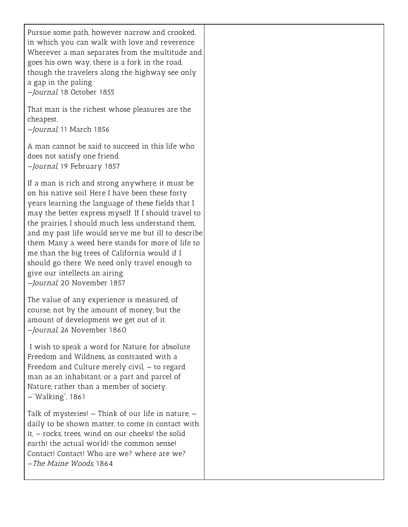Pursue some path, however narrow and crooked, in which you can walk with love and reverence. Wherever a man separates from the multitude and goes his own way, there is a fork in the road, though the travelers along the highway see only a gap in the paling. —Journal, 18 October 1855

That man is the richest whose pleasures are the cheapest. —Journal, 11 March 1856

A man cannot be said to succeed in this life who does not satisfy one friend. —Journal, 19 February 1857

If a man is rich and strong anywhere, it must be on his native soil. Here I have been these forty years learning the language of these fields that I may the better express myself. If I should travel to the prairies, I should much less understand them, and my past life would serve me but ill to describe them. Many a weed here stands for more of life to me than the big trees of California would if I should go there. We need only travel enough to give our intellects an airing. —Journal, 20 November 1857

The value of any experience is measured, of course, not by the amount of money, but the amount of development we get out of it. —Journal, 26 November 1860

I wish to speak a word for Nature, for absolute Freedom and Wildness, as contrasted with a Freedom and Culture merely civil, — to regard man as an inhabitant, or a part and parcel of Nature, rather than a member of society. —"Walking", 1861

Talk of mysteries!  $-$  Think of our life in nature,  $$ daily to be shown matter, to come in contact with it, — rocks, trees, wind on our cheeks! the solid earth! the actual world! the common sense! Contact! Contact! Who are we? where are we? —The Maine Woods, 1864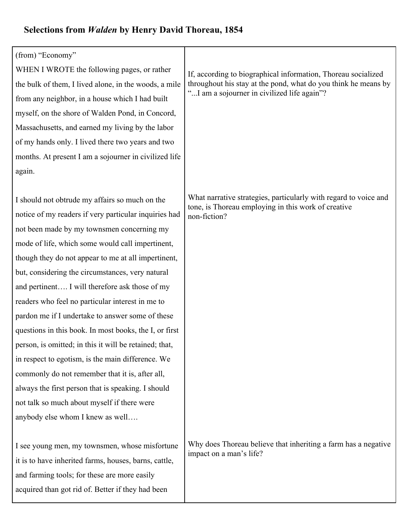### (from) "Economy"

WHEN I WROTE the following pages, or rather the bulk of them, I lived alone, in the woods, a mile from any neighbor, in a house which I had built myself, on the shore of Walden Pond, in Concord, Massachusetts, and earned my living by the labor of my hands only. I lived there two years and two months. At present I am a sojourner in civilized life again.

I should not obtrude my affairs so much on the notice of my readers if very particular inquiries had not been made by my townsmen concerning my mode of life, which some would call impertinent, though they do not appear to me at all impertinent, but, considering the circumstances, very natural and pertinent…. I will therefore ask those of my readers who feel no particular interest in me to pardon me if I undertake to answer some of these questions in this book. In most books, the I, or first person, is omitted; in this it will be retained; that, in respect to egotism, is the main difference. We commonly do not remember that it is, after all, always the first person that is speaking. I should not talk so much about myself if there were anybody else whom I knew as well….

I see young men, my townsmen, whose misfortune it is to have inherited farms, houses, barns, cattle, and farming tools; for these are more easily acquired than got rid of. Better if they had been

If, according to biographical information, Thoreau socialized throughout his stay at the pond, what do you think he means by "...I am a sojourner in civilized life again"?

What narrative strategies, particularly with regard to voice and tone, is Thoreau employing in this work of creative non-fiction?

Why does Thoreau believe that inheriting a farm has a negative impact on a man's life?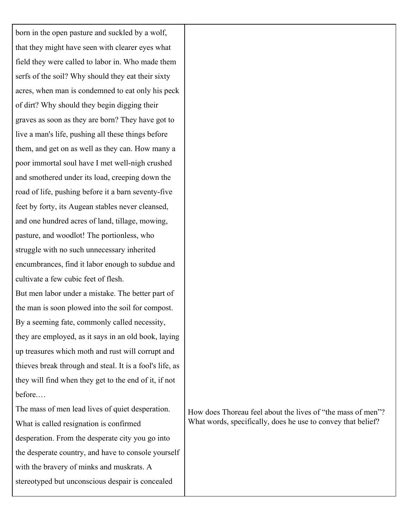born in the open pasture and suckled by a wolf, that they might have seen with clearer eyes what field they were called to labor in. Who made them serfs of the soil? Why should they eat their sixty acres, when man is condemned to eat only his peck of dirt? Why should they begin digging their graves as soon as they are born? They have got to live a man's life, pushing all these things before them, and get on as well as they can. How many a poor immortal soul have I met well-nigh crushed and smothered under its load, creeping down the road of life, pushing before it a barn seventy-five feet by forty, its Augean stables never cleansed, and one hundred acres of land, tillage, mowing, pasture, and woodlot! The portionless, who struggle with no such unnecessary inherited encumbrances, find it labor enough to subdue and cultivate a few cubic feet of flesh. But men labor under a mistake. The better part of the man is soon plowed into the soil for compost. By a seeming fate, commonly called necessity, they are employed, as it says in an old book, laying up treasures which moth and rust will corrupt and thieves break through and steal. It is a fool's life, as they will find when they get to the end of it, if not before.…

The mass of men lead lives of quiet desperation. What is called resignation is confirmed desperation. From the desperate city you go into the desperate country, and have to console yourself with the bravery of minks and muskrats. A stereotyped but unconscious despair is concealed

How does Thoreau feel about the lives of "the mass of men"? What words, specifically, does he use to convey that belief?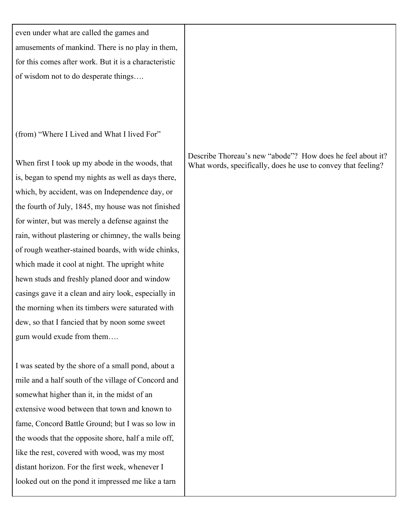even under what are called the games and amusements of mankind. There is no play in them, for this comes after work. But it is a characteristic of wisdom not to do desperate things….

(from) "Where I Lived and What I lived For"

When first I took up my abode in the woods, that is, began to spend my nights as well as days there, which, by accident, was on Independence day, or the fourth of July, 1845, my house was not finished for winter, but was merely a defense against the rain, without plastering or chimney, the walls being of rough weather-stained boards, with wide chinks, which made it cool at night. The upright white hewn studs and freshly planed door and window casings gave it a clean and airy look, especially in the morning when its timbers were saturated with dew, so that I fancied that by noon some sweet gum would exude from them….

I was seated by the shore of a small pond, about a mile and a half south of the village of Concord and somewhat higher than it, in the midst of an extensive wood between that town and known to fame, Concord Battle Ground; but I was so low in the woods that the opposite shore, half a mile off, like the rest, covered with wood, was my most distant horizon. For the first week, whenever I looked out on the pond it impressed me like a tarn

Describe Thoreau's new "abode"? How does he feel about it? What words, specifically, does he use to convey that feeling?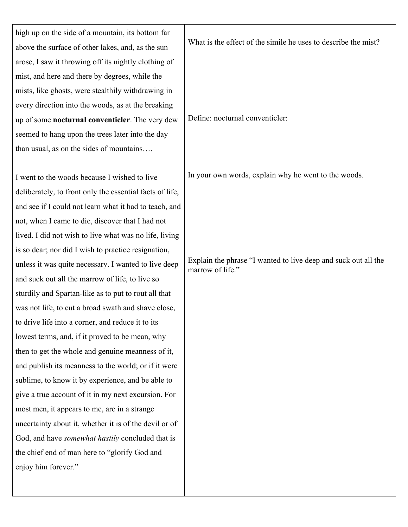high up on the side of a mountain, its bottom far above the surface of other lakes, and, as the sun arose, I saw it throwing off its nightly clothing of mist, and here and there by degrees, while the mists, like ghosts, were stealthily withdrawing in every direction into the woods, as at the breaking up of some **nocturnal conventicler**. The very dew seemed to hang upon the trees later into the day than usual, as on the sides of mountains….

I went to the woods because I wished to live deliberately, to front only the essential facts of life, and see if I could not learn what it had to teach, and not, when I came to die, discover that I had not lived. I did not wish to live what was no life, living is so dear; nor did I wish to practice resignation, unless it was quite necessary. I wanted to live deep and suck out all the marrow of life, to live so sturdily and Spartan-like as to put to rout all that was not life, to cut a broad swath and shave close, to drive life into a corner, and reduce it to its lowest terms, and, if it proved to be mean, why then to get the whole and genuine meanness of it, and publish its meanness to the world; or if it were sublime, to know it by experience, and be able to give a true account of it in my next excursion. For most men, it appears to me, are in a strange uncertainty about it, whether it is of the devil or of God, and have *somewhat hastily* concluded that is the chief end of man here to "glorify God and enjoy him forever."

What is the effect of the simile he uses to describe the mist?

Define: nocturnal conventicler:

In your own words, explain why he went to the woods.

Explain the phrase "I wanted to live deep and suck out all the marrow of life."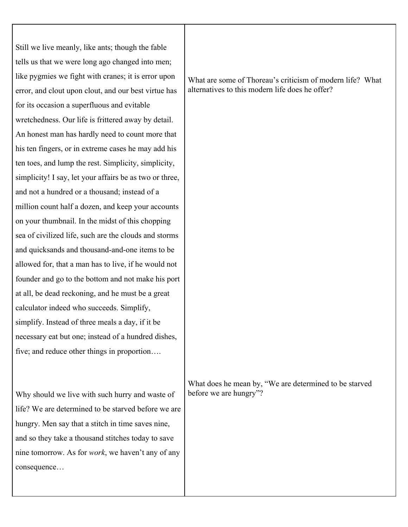Still we live meanly, like ants; though the fable tells us that we were long ago changed into men; like pygmies we fight with cranes; it is error upon error, and clout upon clout, and our best virtue has for its occasion a superfluous and evitable wretchedness. Our life is frittered away by detail. An honest man has hardly need to count more that his ten fingers, or in extreme cases he may add his ten toes, and lump the rest. Simplicity, simplicity, simplicity! I say, let your affairs be as two or three, and not a hundred or a thousand; instead of a million count half a dozen, and keep your accounts on your thumbnail. In the midst of this chopping sea of civilized life, such are the clouds and storms and quicksands and thousand-and-one items to be allowed for, that a man has to live, if he would not founder and go to the bottom and not make his port at all, be dead reckoning, and he must be a great calculator indeed who succeeds. Simplify, simplify. Instead of three meals a day, if it be necessary eat but one; instead of a hundred dishes, five; and reduce other things in proportion….

Why should we live with such hurry and waste of life? We are determined to be starved before we are hungry. Men say that a stitch in time saves nine, and so they take a thousand stitches today to save nine tomorrow. As for *work*, we haven't any of any consequence…

What are some of Thoreau's criticism of modern life? What alternatives to this modern life does he offer?

What does he mean by, "We are determined to be starved before we are hungry"?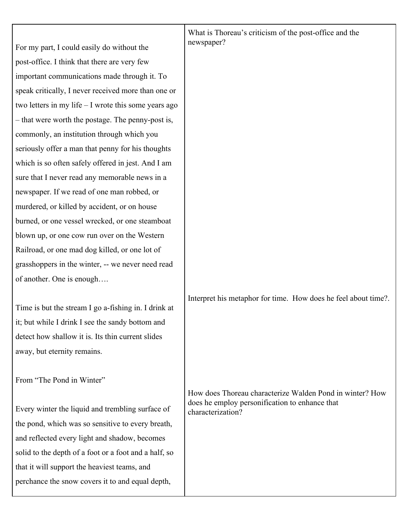For my part, I could easily do without the post-office. I think that there are very few important communications made through it. To speak critically, I never received more than one or two letters in my life – I wrote this some years ago – that were worth the postage. The penny-post is, commonly, an institution through which you seriously offer a man that penny for his thoughts which is so often safely offered in jest. And I am sure that I never read any memorable news in a newspaper. If we read of one man robbed, or murdered, or killed by accident, or on house burned, or one vessel wrecked, or one steamboat blown up, or one cow run over on the Western Railroad, or one mad dog killed, or one lot of grasshoppers in the winter, -- we never need read of another. One is enough….

Time is but the stream I go a-fishing in. I drink at it; but while I drink I see the sandy bottom and detect how shallow it is. Its thin current slides away, but eternity remains.

From "The Pond in Winter"

Every winter the liquid and trembling surface of the pond, which was so sensitive to every breath, and reflected every light and shadow, becomes solid to the depth of a foot or a foot and a half, so that it will support the heaviest teams, and perchance the snow covers it to and equal depth,

What is Thoreau's criticism of the post-office and the newspaper?

Interpret his metaphor for time. How does he feel about time?.

How does Thoreau characterize Walden Pond in winter? How does he employ personification to enhance that characterization?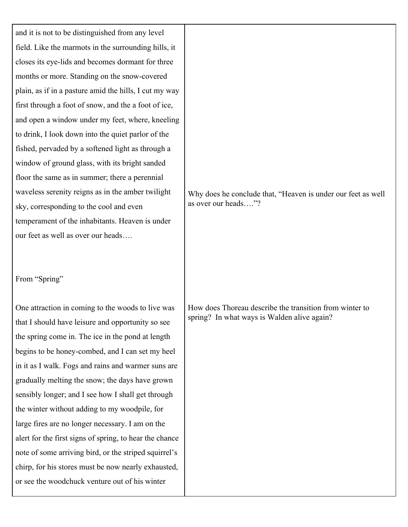and it is not to be distinguished from any level field. Like the marmots in the surrounding hills, it closes its eye-lids and becomes dormant for three months or more. Standing on the snow-covered plain, as if in a pasture amid the hills, I cut my way first through a foot of snow, and the a foot of ice, and open a window under my feet, where, kneeling to drink, I look down into the quiet parlor of the fished, pervaded by a softened light as through a window of ground glass, with its bright sanded floor the same as in summer; there a perennial waveless serenity reigns as in the amber twilight sky, corresponding to the cool and even temperament of the inhabitants. Heaven is under our feet as well as over our heads….

#### From "Spring"

One attraction in coming to the woods to live was that I should have leisure and opportunity so see the spring come in. The ice in the pond at length begins to be honey-combed, and I can set my heel in it as I walk. Fogs and rains and warmer suns are gradually melting the snow; the days have grown sensibly longer; and I see how I shall get through the winter without adding to my woodpile, for large fires are no longer necessary. I am on the alert for the first signs of spring, to hear the chance note of some arriving bird, or the striped squirrel's chirp, for his stores must be now nearly exhausted, or see the woodchuck venture out of his winter

Why does he conclude that, "Heaven is under our feet as well as over our heads…."?

How does Thoreau describe the transition from winter to spring? In what ways is Walden alive again?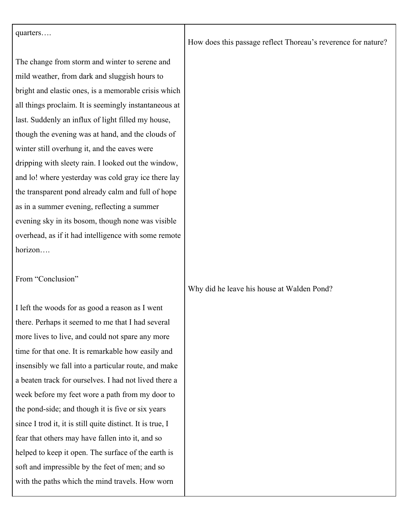#### quarters….

The change from storm and winter to serene and mild weather, from dark and sluggish hours to bright and elastic ones, is a memorable crisis which all things proclaim. It is seemingly instantaneous at last. Suddenly an influx of light filled my house, though the evening was at hand, and the clouds of winter still overhung it, and the eaves were dripping with sleety rain. I looked out the window, and lo! where yesterday was cold gray ice there lay the transparent pond already calm and full of hope as in a summer evening, reflecting a summer evening sky in its bosom, though none was visible overhead, as if it had intelligence with some remote horizon….

#### From "Conclusion"

I left the woods for as good a reason as I went there. Perhaps it seemed to me that I had several more lives to live, and could not spare any more time for that one. It is remarkable how easily and insensibly we fall into a particular route, and make a beaten track for ourselves. I had not lived there a week before my feet wore a path from my door to the pond-side; and though it is five or six years since I trod it, it is still quite distinct. It is true, I fear that others may have fallen into it, and so helped to keep it open. The surface of the earth is soft and impressible by the feet of men; and so with the paths which the mind travels. How worn

How does this passage reflect Thoreau's reverence for nature?

#### Why did he leave his house at Walden Pond?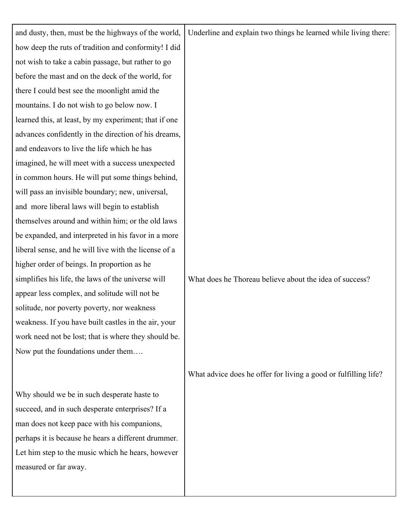and dusty, then, must be the highways of the world, how deep the ruts of tradition and conformity! I did not wish to take a cabin passage, but rather to go before the mast and on the deck of the world, for there I could best see the moonlight amid the mountains. I do not wish to go below now. I learned this, at least, by my experiment; that if one advances confidently in the direction of his dreams, and endeavors to live the life which he has imagined, he will meet with a success unexpected in common hours. He will put some things behind, will pass an invisible boundary; new, universal, and more liberal laws will begin to establish themselves around and within him; or the old laws be expanded, and interpreted in his favor in a more liberal sense, and he will live with the license of a higher order of beings. In proportion as he simplifies his life, the laws of the universe will appear less complex, and solitude will not be solitude, nor poverty poverty, nor weakness weakness. If you have built castles in the air, your work need not be lost; that is where they should be. Now put the foundations under them….

Why should we be in such desperate haste to succeed, and in such desperate enterprises? If a man does not keep pace with his companions, perhaps it is because he hears a different drummer. Let him step to the music which he hears, however measured or far away.

Underline and explain two things he learned while living there:

What does he Thoreau believe about the idea of success?

What advice does he offer for living a good or fulfilling life?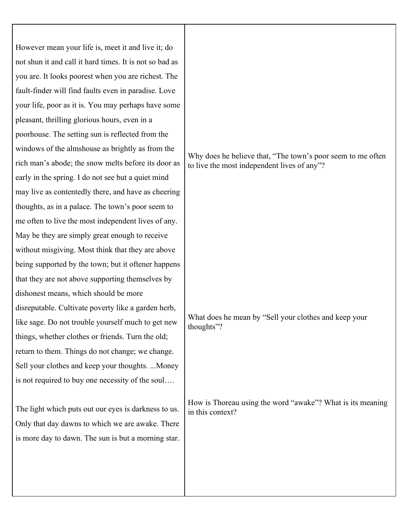However mean your life is, meet it and live it; do not shun it and call it hard times. It is not so bad as you are. It looks poorest when you are richest. The fault-finder will find faults even in paradise. Love your life, poor as it is. You may perhaps have some pleasant, thrilling glorious hours, even in a poorhouse. The setting sun is reflected from the windows of the almshouse as brightly as from the rich man's abode; the snow melts before its door as early in the spring. I do not see but a quiet mind may live as contentedly there, and have as cheering thoughts, as in a palace. The town's poor seem to me often to live the most independent lives of any. May be they are simply great enough to receive without misgiving. Most think that they are above being supported by the town; but it oftener happens that they are not above supporting themselves by dishonest means, which should be more disreputable. Cultivate poverty like a garden herb, like sage. Do not trouble yourself much to get new things, whether clothes or friends. Turn the old; return to them. Things do not change; we change. Sell your clothes and keep your thoughts. ...Money is not required to buy one necessity of the soul….

The light which puts out our eyes is darkness to us. Only that day dawns to which we are awake. There is more day to dawn. The sun is but a morning star. Why does he believe that, "The town's poor seem to me often to live the most independent lives of any"?

What does he mean by "Sell your clothes and keep your thoughts"?

How is Thoreau using the word "awake"? What is its meaning in this context?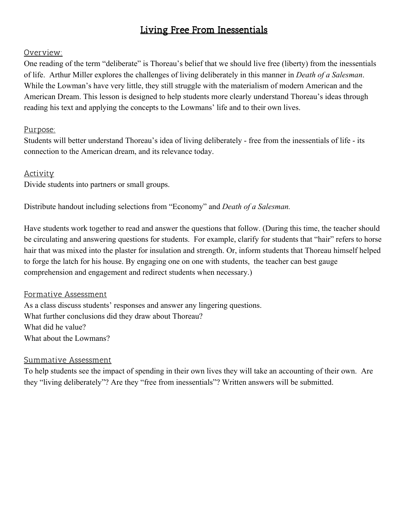# Living Free From Inessentials

### Overview:

One reading of the term "deliberate" is Thoreau's belief that we should live free (liberty) from the inessentials of life. Arthur Miller explores the challenges of living deliberately in this manner in *Death of a Salesman*. While the Lowman's have very little, they still struggle with the materialism of modern American and the American Dream. This lesson is designed to help students more clearly understand Thoreau's ideas through reading his text and applying the concepts to the Lowmans' life and to their own lives.

### Purpose:

Students will better understand Thoreau's idea of living deliberately - free from the inessentials of life - its connection to the American dream, and its relevance today.

### **Activity**

Divide students into partners or small groups.

Distribute handout including selections from "Economy" and *Death of a Salesman.*

Have students work together to read and answer the questions that follow. (During this time, the teacher should be circulating and answering questions for students. For example, clarify for students that "hair" refers to horse hair that was mixed into the plaster for insulation and strength. Or, inform students that Thoreau himself helped to forge the latch for his house. By engaging one on one with students, the teacher can best gauge comprehension and engagement and redirect students when necessary.)

### Formative Assessment

As a class discuss students' responses and answer any lingering questions. What further conclusions did they draw about Thoreau? What did he value? What about the Lowmans?

### Summative Assessment

To help students see the impact of spending in their own lives they will take an accounting of their own. Are they "living deliberately"? Are they "free from inessentials"? Written answers will be submitted.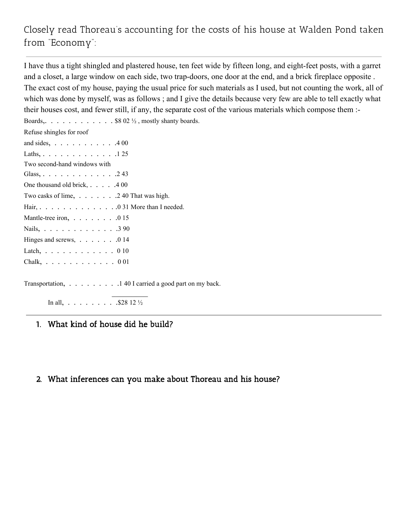# Closely read Thoreau's accounting for the costs of his house at Walden Pond taken from "Economy":

I have thus a tight shingled and plastered house, ten feet wide by fifteen long, and eight-feet posts, with a garret and a closet, a large window on each side, two trap-doors, one door at the end, and a brick fireplace opposite . The exact cost of my house, paying the usual price for such materials as I used, but not counting the work, all of which was done by myself, was as follows ; and I give the details because very few are able to tell exactly what their houses cost, and fewer still, if any, the separate cost of the various materials which compose them :-

Boards,. . . . . . . . . . . . \$8 02 ½ , mostly shanty boards.

| Refuse shingles for roof |  |  |  |  |  |  |
|--------------------------|--|--|--|--|--|--|
| and sides, $\ldots$ 400  |  |  |  |  |  |  |

| ally since $\sim$ 4 00                                                                                    |
|-----------------------------------------------------------------------------------------------------------|
| Laths, 1 25                                                                                               |
| Two second-hand windows with                                                                              |
| Glass, 243                                                                                                |
| One thousand old brick, $\ldots$ 400                                                                      |
| Two casks of lime, $\ldots$ 240 That was high.                                                            |
| Hair, $\ldots$ , $\ldots$ , $\ldots$ , $\ldots$ , $\ldots$ , $\ldots$ , $\ldots$ 0 31 More than I needed. |
| Mantle-tree iron, $\ldots$ , $\ldots$ , 0 15                                                              |
| Nails, 390                                                                                                |
| Hinges and screws, $\ldots$ 0 14                                                                          |
| Latch, $\ldots$ , $\ldots$ , $\ldots$ , $\ldots$ , 0 10                                                   |
| Chalk, $\ldots$ , $\ldots$ , $\ldots$ , $\ldots$ , 001                                                    |

Transportation, . . . . . . . . 140 I carried a good part on my back.  $\frac{1}{2}$  ,  $\frac{1}{2}$  ,  $\frac{1}{2}$  ,  $\frac{1}{2}$  ,  $\frac{1}{2}$  ,  $\frac{1}{2}$ 

In all,  $\ldots$  . . . . . . \$28 12  $\frac{1}{2}$ 

### 1. What kind of house did he build?

### 2. What inferences can you make about Thoreau and his house?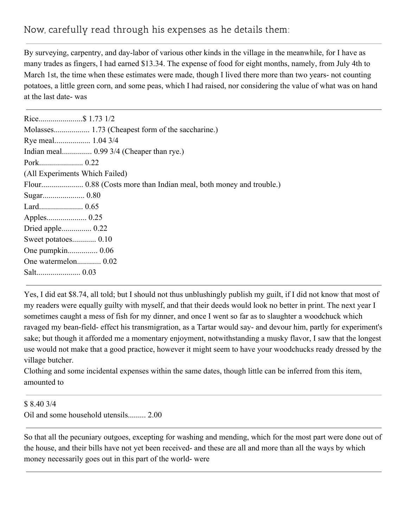# Now, carefully read through his expenses as he details them:

By surveying, carpentry, and day-labor of various other kinds in the village in the meanwhile, for I have as many trades as fingers, I had earned \$13.34. The expense of food for eight months, namely, from July 4th to March 1st, the time when these estimates were made, though I lived there more than two years- not counting potatoes, a little green corn, and some peas, which I had raised, nor considering the value of what was on hand at the last date- was

| Indian meal 0.99 3/4 (Cheaper than rye.) |
|------------------------------------------|
|                                          |
| (All Experiments Which Failed)           |
|                                          |
|                                          |
|                                          |
|                                          |
|                                          |
|                                          |
|                                          |
|                                          |
|                                          |

Yes, I did eat \$8.74, all told; but I should not thus unblushingly publish my guilt, if I did not know that most of my readers were equally guilty with myself, and that their deeds would look no better in print. The next year I sometimes caught a mess of fish for my dinner, and once I went so far as to slaughter a woodchuck which ravaged my bean-field- effect his transmigration, as a Tartar would say- and devour him, partly for experiment's sake; but though it afforded me a momentary enjoyment, notwithstanding a musky flavor, I saw that the longest use would not make that a good practice, however it might seem to have your woodchucks ready dressed by the village butcher.

Clothing and some incidental expenses within the same dates, though little can be inferred from this item, amounted to

\$ 8.40 3/4 Oil and some household utensils......... 2.00

So that all the pecuniary outgoes, excepting for washing and mending, which for the most part were done out of the house, and their bills have not yet been received- and these are all and more than all the ways by which money necessarily goes out in this part of the world- were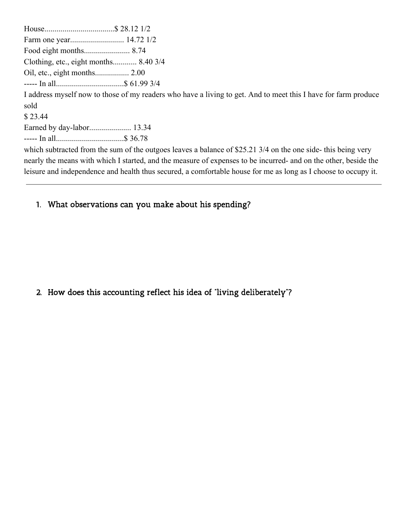| Clothing, etc., eight months 8.40 3/4                                                                           |
|-----------------------------------------------------------------------------------------------------------------|
|                                                                                                                 |
|                                                                                                                 |
| I address myself now to those of my readers who have a living to get. And to meet this I have for farm produce  |
| sold                                                                                                            |
| \$23.44                                                                                                         |
|                                                                                                                 |
|                                                                                                                 |
| which subtracted from the sum of the outgoes leaves a balance of \$25.21 3/4 on the one side- this being very   |
| nearly the means with which I started, and the measure of expenses to be incurred- and on the other, beside the |
| leisure and independence and health thus secured, a comfortable house for me as long as I choose to occupy it.  |

# 1. What observations can you make about his spending?

# 2. How does this accounting reflect his idea of "living deliberately"?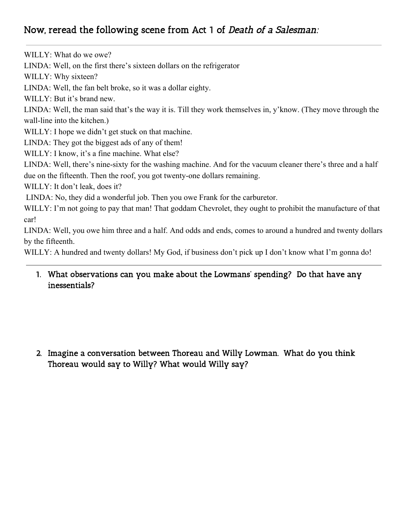# Now, reread the following scene from Act 1 of Death of <sup>a</sup> Salesman:

WILLY: What do we owe?

LINDA: Well, on the first there's sixteen dollars on the refrigerator

WILLY: Why sixteen?

LINDA: Well, the fan belt broke, so it was a dollar eighty.

WILLY: But it's brand new.

LINDA: Well, the man said that's the way it is. Till they work themselves in, y'know. (They move through the wall-line into the kitchen.)

WILLY: I hope we didn't get stuck on that machine.

LINDA: They got the biggest ads of any of them!

WILLY: I know, it's a fine machine. What else?

LINDA: Well, there's nine-sixty for the washing machine. And for the vacuum cleaner there's three and a half due on the fifteenth. Then the roof, you got twenty-one dollars remaining.

WILLY: It don't leak, does it?

LINDA: No, they did a wonderful job. Then you owe Frank for the carburetor.

WILLY: I'm not going to pay that man! That goddam Chevrolet, they ought to prohibit the manufacture of that car!

LINDA: Well, you owe him three and a half. And odds and ends, comes to around a hundred and twenty dollars by the fifteenth.

WILLY: A hundred and twenty dollars! My God, if business don't pick up I don't know what I'm gonna do!

# 1. What observations can you make about the Lowmans' spending? Do that have any inessentials?

2. Imagine a conversation between Thoreau and Willy Lowman. What do you think Thoreau would say to Willy? What would Willy say?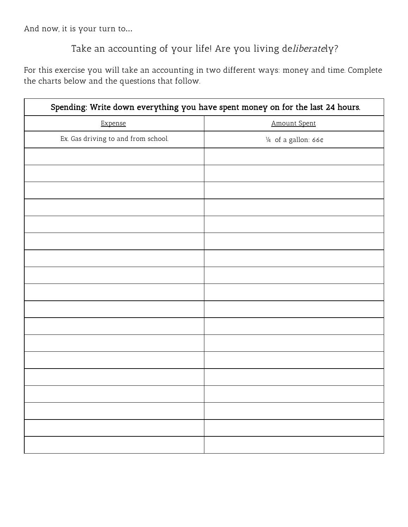And now, it is your turn to…

# Take an accounting of your life! Are you living deliberately?

For this exercise you will take an accounting in two different ways: money and time. Complete the charts below and the questions that follow.

| Spending: Write down everything you have spent money on for the last 24 hours. |                                |  |  |
|--------------------------------------------------------------------------------|--------------------------------|--|--|
| Expense                                                                        | <b>Amount Spent</b>            |  |  |
| Ex. Gas driving to and from school.                                            | $\frac{1}{4}$ of a gallon: 66¢ |  |  |
|                                                                                |                                |  |  |
|                                                                                |                                |  |  |
|                                                                                |                                |  |  |
|                                                                                |                                |  |  |
|                                                                                |                                |  |  |
|                                                                                |                                |  |  |
|                                                                                |                                |  |  |
|                                                                                |                                |  |  |
|                                                                                |                                |  |  |
|                                                                                |                                |  |  |
|                                                                                |                                |  |  |
|                                                                                |                                |  |  |
|                                                                                |                                |  |  |
|                                                                                |                                |  |  |
|                                                                                |                                |  |  |
|                                                                                |                                |  |  |
|                                                                                |                                |  |  |
|                                                                                |                                |  |  |
|                                                                                |                                |  |  |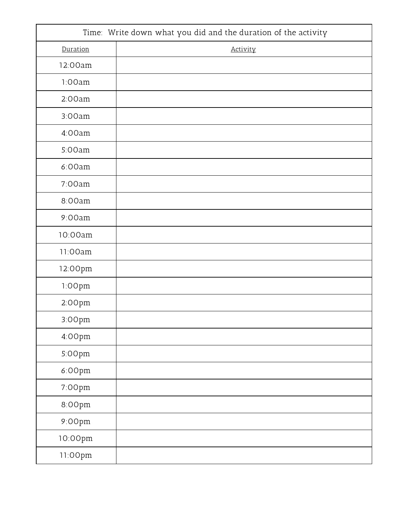|                      | Time: Write down what you did and the duration of the activity |
|----------------------|----------------------------------------------------------------|
| Duration             | Activity                                                       |
| 12:00am              |                                                                |
| 1:00am               |                                                                |
| 2:00am               |                                                                |
| 3:00am               |                                                                |
| 4:00am               |                                                                |
| 5:00am               |                                                                |
| 6:00am               |                                                                |
| 7:00am               |                                                                |
| 8:00am               |                                                                |
| 9:00am               |                                                                |
| 10:00am              |                                                                |
| 11:00am              |                                                                |
| 12:00pm              |                                                                |
| $1:00\,pm$           |                                                                |
| $2:00$ pm            |                                                                |
| $3:00\, \mathrm{pm}$ |                                                                |
| 4:00pm               |                                                                |
| $5:00\,pm$           |                                                                |
| 6:00pm               |                                                                |
| 7:00pm               |                                                                |
| 8:00pm               |                                                                |
| 9:00pm               |                                                                |
| 10:00pm              |                                                                |
| 11:00pm              |                                                                |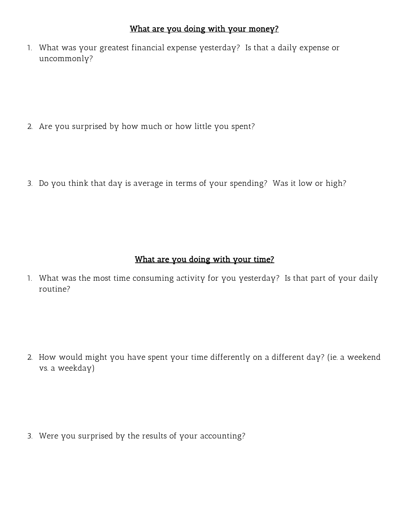# What are you doing with your money?

1. What was your greatest financial expense yesterday? Is that a daily expense or uncommonly?

- 2. Are you surprised by how much or how little you spent?
- 3. Do you think that day is average in terms of your spending? Was it low or high?

# What are you doing with your time?

1. What was the most time consuming activity for you yesterday? Is that part of your daily routine?

2. How would might you have spent your time differently on a different day? (ie. a weekend vs. a weekday)

3. Were you surprised by the results of your accounting?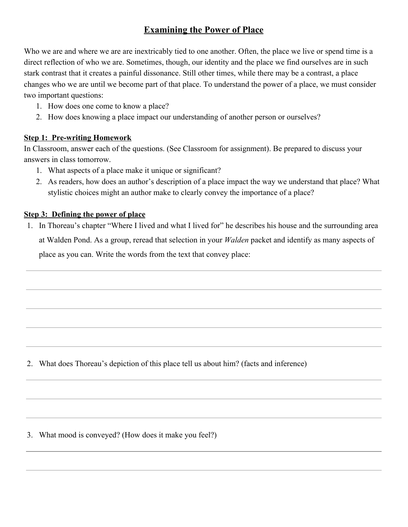# **Examining the Power of Place**

Who we are and where we are are inextricably tied to one another. Often, the place we live or spend time is a direct reflection of who we are. Sometimes, though, our identity and the place we find ourselves are in such stark contrast that it creates a painful dissonance. Still other times, while there may be a contrast, a place changes who we are until we become part of that place. To understand the power of a place, we must consider two important questions:

- 1. How does one come to know a place?
- 2. How does knowing a place impact our understanding of another person or ourselves?

### **Step 1: Pre-writing Homework**

In Classroom, answer each of the questions. (See Classroom for assignment). Be prepared to discuss your answers in class tomorrow.

- 1. What aspects of a place make it unique or significant?
- 2. As readers, how does an author's description of a place impact the way we understand that place? What stylistic choices might an author make to clearly convey the importance of a place?

### **Step 3: Defining the power of place**

1. In Thoreau's chapter "Where I lived and what I lived for" he describes his house and the surrounding area at Walden Pond. As a group, reread that selection in your *Walden* packet and identify as many aspects of place as you can. Write the words from the text that convey place:

2. What does Thoreau's depiction of this place tell us about him? (facts and inference)

3. What mood is conveyed? (How does it make you feel?)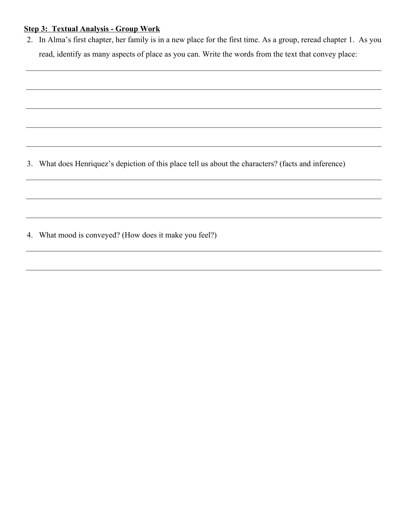#### **Step 3: Textual Analysis - Group Work**

2. In Alma's first chapter, her family is in a new place for the first time. As a group, reread chapter 1. As you read, identify as many aspects of place as you can. Write the words from the text that convey place:

3. What does Henriquez's depiction of this place tell us about the characters? (facts and inference)

4. What mood is conveyed? (How does it make you feel?)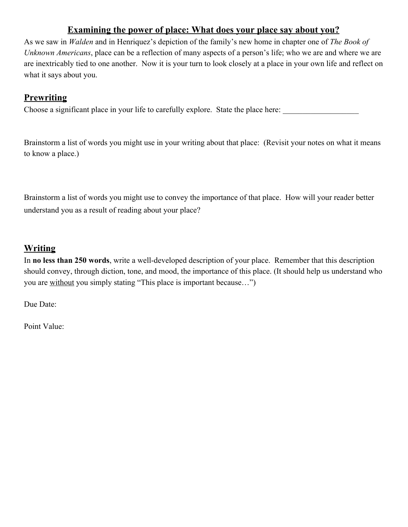## **Examining the power of place: What does your place say about you?**

As we saw in *Walden* and in Henriquez's depiction of the family's new home in chapter one of *The Book of Unknown Americans*, place can be a reflection of many aspects of a person's life; who we are and where we are are inextricably tied to one another. Now it is your turn to look closely at a place in your own life and reflect on what it says about you.

# **Prewriting**

Choose a significant place in your life to carefully explore. State the place here:

Brainstorm a list of words you might use in your writing about that place: (Revisit your notes on what it means to know a place.)

Brainstorm a list of words you might use to convey the importance of that place. How will your reader better understand you as a result of reading about your place?

# **Writing**

In **no less than 250 words**, write a well-developed description of your place. Remember that this description should convey, through diction, tone, and mood, the importance of this place. (It should help us understand who you are without you simply stating "This place is important because…")

Due Date:

Point Value: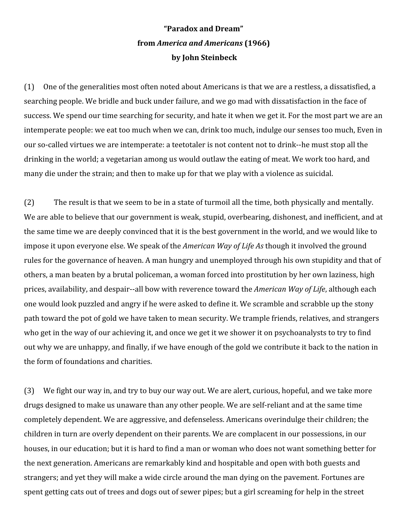# **"Paradox and Dream" from** *America and Americans* **(1966) by John Steinbeck**

(1) One of the generalities most often noted about Americans is that we are a restless, a dissatisfied, a searching people. We bridle and buck under failure, and we go mad with dissatisfaction in the face of success. We spend our time searching for security, and hate it when we get it. For the most part we are an intemperate people: we eat too much when we can, drink too much, indulge our senses too much, Even in our so-called virtues we are intemperate: a teetotaler is not content not to drink--he must stop all the drinking in the world; a vegetarian among us would outlaw the eating of meat. We work too hard, and many die under the strain; and then to make up for that we play with a violence as suicidal.

(2) The result is that we seem to be in a state of turmoil all the time, both physically and mentally. We are able to believe that our government is weak, stupid, overbearing, dishonest, and inefficient, and at the same time we are deeply convinced that it is the best government in the world, and we would like to impose it upon everyone else. We speak of the *American Way of Life As* though it involved the ground rules for the governance of heaven. A man hungry and unemployed through his own stupidity and that of others, a man beaten by a brutal policeman, a woman forced into prostitution by her own laziness, high prices, availability, and despair--all bow with reverence toward the *American Way of Life*, although each one would look puzzled and angry if he were asked to define it. We scramble and scrabble up the stony path toward the pot of gold we have taken to mean security. We trample friends, relatives, and strangers who get in the way of our achieving it, and once we get it we shower it on psychoanalysts to try to find out why we are unhappy, and finally, if we have enough of the gold we contribute it back to the nation in the form of foundations and charities.

(3) We fight our way in, and try to buy our way out. We are alert, curious, hopeful, and we take more drugs designed to make us unaware than any other people. We are self-reliant and at the same time completely dependent. We are aggressive, and defenseless. Americans overindulge their children; the children in turn are overly dependent on their parents. We are complacent in our possessions, in our houses, in our education; but it is hard to find a man or woman who does not want something better for the next generation. Americans are remarkably kind and hospitable and open with both guests and strangers; and yet they will make a wide circle around the man dying on the pavement. Fortunes are spent getting cats out of trees and dogs out of sewer pipes; but a girl screaming for help in the street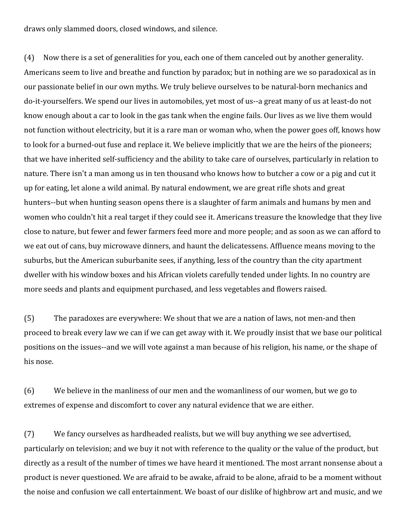draws only slammed doors, closed windows, and silence.

(4) Now there is a set of generalities for you, each one of them canceled out by another generality. Americans seem to live and breathe and function by paradox; but in nothing are we so paradoxical as in our passionate belief in our own myths. We truly believe ourselves to be natural-born mechanics and do-it-yourselfers. We spend our lives in automobiles, yet most of us--a great many of us at least-do not know enough about a car to look in the gas tank when the engine fails. Our lives as we live them would not function without electricity, but it is a rare man or woman who, when the power goes off, knows how to look for a burned-out fuse and replace it. We believe implicitly that we are the heirs of the pioneers; that we have inherited self-sufficiency and the ability to take care of ourselves, particularly in relation to nature. There isn't a man among us in ten thousand who knows how to butcher a cow or a pig and cut it up for eating, let alone a wild animal. By natural endowment, we are great rifle shots and great hunters--but when hunting season opens there is a slaughter of farm animals and humans by men and women who couldn't hit a real target if they could see it. Americans treasure the knowledge that they live close to nature, but fewer and fewer farmers feed more and more people; and as soon as we can afford to we eat out of cans, buy microwave dinners, and haunt the delicatessens. Affluence means moving to the suburbs, but the American suburbanite sees, if anything, less of the country than the city apartment dweller with his window boxes and his African violets carefully tended under lights. In no country are more seeds and plants and equipment purchased, and less vegetables and flowers raised.

(5) The paradoxes are everywhere: We shout that we are a nation of laws, not men-and then proceed to break every law we can if we can get away with it. We proudly insist that we base our political positions on the issues--and we will vote against a man because of his religion, his name, or the shape of his nose.

(6) We believe in the manliness of our men and the womanliness of our women, but we go to extremes of expense and discomfort to cover any natural evidence that we are either.

(7) We fancy ourselves as hardheaded realists, but we will buy anything we see advertised, particularly on television; and we buy it not with reference to the quality or the value of the product, but directly as a result of the number of times we have heard it mentioned. The most arrant nonsense about a product is never questioned. We are afraid to be awake, afraid to be alone, afraid to be a moment without the noise and confusion we call entertainment. We boast of our dislike of highbrow art and music, and we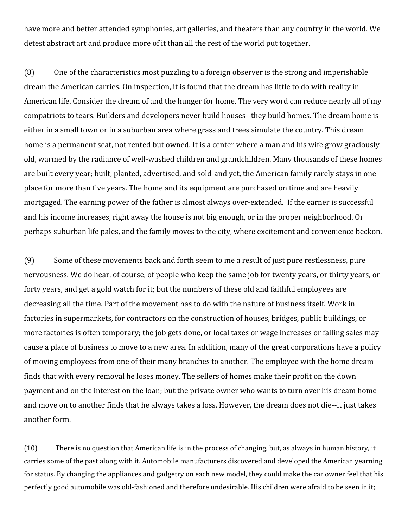have more and better attended symphonies, art galleries, and theaters than any country in the world. We detest abstract art and produce more of it than all the rest of the world put together.

(8) One of the characteristics most puzzling to a foreign observer is the strong and imperishable dream the American carries. On inspection, it is found that the dream has little to do with reality in American life. Consider the dream of and the hunger for home. The very word can reduce nearly all of my compatriots to tears. Builders and developers never build houses--they build homes. The dream home is either in a small town or in a suburban area where grass and trees simulate the country. This dream home is a permanent seat, not rented but owned. It is a center where a man and his wife grow graciously old, warmed by the radiance of well-washed children and grandchildren. Many thousands of these homes are built every year; built, planted, advertised, and sold-and yet, the American family rarely stays in one place for more than five years. The home and its equipment are purchased on time and are heavily mortgaged. The earning power of the father is almost always over-extended. If the earner is successful and his income increases, right away the house is not big enough, or in the proper neighborhood. Or perhaps suburban life pales, and the family moves to the city, where excitement and convenience beckon.

(9) Some of these movements back and forth seem to me a result of just pure restlessness, pure nervousness. We do hear, of course, of people who keep the same job for twenty years, or thirty years, or forty years, and get a gold watch for it; but the numbers of these old and faithful employees are decreasing all the time. Part of the movement has to do with the nature of business itself. Work in factories in supermarkets, for contractors on the construction of houses, bridges, public buildings, or more factories is often temporary; the job gets done, or local taxes or wage increases or falling sales may cause a place of business to move to a new area. In addition, many of the great corporations have a policy of moving employees from one of their many branches to another. The employee with the home dream finds that with every removal he loses money. The sellers of homes make their profit on the down payment and on the interest on the loan; but the private owner who wants to turn over his dream home and move on to another finds that he always takes a loss. However, the dream does not die--it just takes another form.

(10) There is no question that American life is in the process of changing, but, as always in human history, it carries some of the past along with it. Automobile manufacturers discovered and developed the American yearning for status. By changing the appliances and gadgetry on each new model, they could make the car owner feel that his perfectly good automobile was old-fashioned and therefore undesirable. His children were afraid to be seen in it;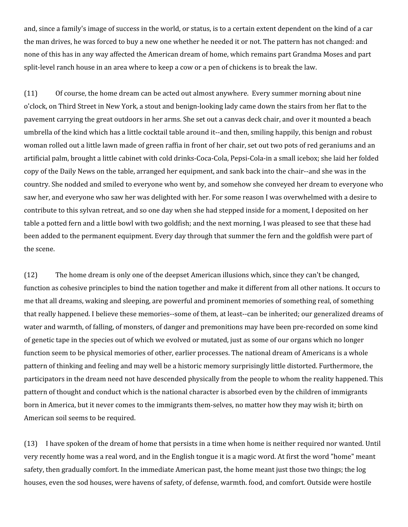and, since a family's image of success in the world, or status, is to a certain extent dependent on the kind of a car the man drives, he was forced to buy a new one whether he needed it or not. The pattern has not changed: and none of this has in any way affected the American dream of home, which remains part Grandma Moses and part split-level ranch house in an area where to keep a cow or a pen of chickens is to break the law.

(11) Of course, the home dream can be acted out almost anywhere. Every summer morning about nine o'clock, on Third Street in New York, a stout and benign-looking lady came down the stairs from her flat to the pavement carrying the great outdoors in her arms. She set out a canvas deck chair, and over it mounted a beach umbrella of the kind which has a little cocktail table around it--and then, smiling happily, this benign and robust woman rolled out a little lawn made of green raffia in front of her chair, set out two pots of red geraniums and an artificial palm, brought a little cabinet with cold drinks-Coca-Cola, Pepsi-Cola-in a small icebox; she laid her folded copy of the Daily News on the table, arranged her equipment, and sank back into the chair--and she was in the country. She nodded and smiled to everyone who went by, and somehow she conveyed her dream to everyone who saw her, and everyone who saw her was delighted with her. For some reason I was overwhelmed with a desire to contribute to this sylvan retreat, and so one day when she had stepped inside for a moment, I deposited on her table a potted fern and a little bowl with two goldfish; and the next morning, I was pleased to see that these had been added to the permanent equipment. Every day through that summer the fern and the goldfish were part of the scene.

(12) The home dream is only one of the deepset American illusions which, since they can't be changed, function as cohesive principles to bind the nation together and make it different from all other nations. It occurs to me that all dreams, waking and sleeping, are powerful and prominent memories of something real, of something that really happened. I believe these memories--some of them, at least--can be inherited; our generalized dreams of water and warmth, of falling, of monsters, of danger and premonitions may have been pre-recorded on some kind of genetic tape in the species out of which we evolved or mutated, just as some of our organs which no longer function seem to be physical memories of other, earlier processes. The national dream of Americans is a whole pattern of thinking and feeling and may well be a historic memory surprisingly little distorted. Furthermore, the participators in the dream need not have descended physically from the people to whom the reality happened. This pattern of thought and conduct which is the national character is absorbed even by the children of immigrants born in America, but it never comes to the immigrants them-selves, no matter how they may wish it; birth on American soil seems to be required.

(13) I have spoken of the dream of home that persists in a time when home is neither required nor wanted. Until very recently home was a real word, and in the English tongue it is a magic word. At first the word "home" meant safety, then gradually comfort. In the immediate American past, the home meant just those two things; the log houses, even the sod houses, were havens of safety, of defense, warmth. food, and comfort. Outside were hostile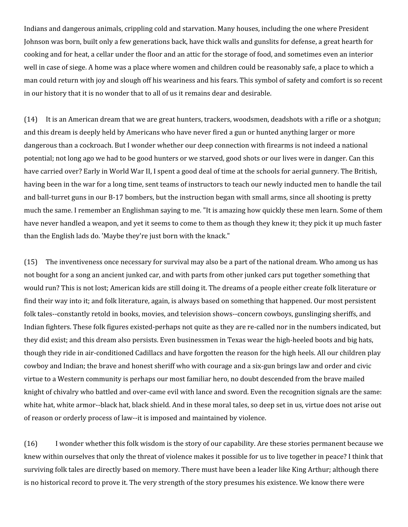Indians and dangerous animals, crippling cold and starvation. Many houses, including the one where President Johnson was born, built only a few generations back, have thick walls and gunslits for defense, a great hearth for cooking and for heat, a cellar under the floor and an attic for the storage of food, and sometimes even an interior well in case of siege. A home was a place where women and children could be reasonably safe, a place to which a man could return with joy and slough off his weariness and his fears. This symbol of safety and comfort is so recent in our history that it is no wonder that to all of us it remains dear and desirable.

(14) It is an American dream that we are great hunters, trackers, woodsmen, deadshots with a rifle or a shotgun; and this dream is deeply held by Americans who have never fired a gun or hunted anything larger or more dangerous than a cockroach. But I wonder whether our deep connection with firearms is not indeed a national potential; not long ago we had to be good hunters or we starved, good shots or our lives were in danger. Can this have carried over? Early in World War II, I spent a good deal of time at the schools for aerial gunnery. The British, having been in the war for a long time, sent teams of instructors to teach our newly inducted men to handle the tail and ball-turret guns in our B-17 bombers, but the instruction began with small arms, since all shooting is pretty much the same. I remember an Englishman saying to me. "It is amazing how quickly these men learn. Some of them have never handled a weapon, and yet it seems to come to them as though they knew it; they pick it up much faster than the English lads do. 'Maybe they're just born with the knack."

(15) The inventiveness once necessary for survival may also be a part of the national dream. Who among us has not bought for a song an ancient junked car, and with parts from other junked cars put together something that would run? This is not lost; American kids are still doing it. The dreams of a people either create folk literature or find their way into it; and folk literature, again, is always based on something that happened. Our most persistent folk tales--constantly retold in books, movies, and television shows--concern cowboys, gunslinging sheriffs, and Indian fighters. These folk figures existed-perhaps not quite as they are re-called nor in the numbers indicated, but they did exist; and this dream also persists. Even businessmen in Texas wear the high-heeled boots and big hats, though they ride in air-conditioned Cadillacs and have forgotten the reason for the high heels. All our children play cowboy and Indian; the brave and honest sheriff who with courage and a six-gun brings law and order and civic virtue to a Western community is perhaps our most familiar hero, no doubt descended from the brave mailed knight of chivalry who battled and over-came evil with lance and sword. Even the recognition signals are the same: white hat, white armor--black hat, black shield. And in these moral tales, so deep set in us, virtue does not arise out of reason or orderly process of law--it is imposed and maintained by violence.

(16) I wonder whether this folk wisdom is the story of our capability. Are these stories permanent because we knew within ourselves that only the threat of violence makes it possible for us to live together in peace? I think that surviving folk tales are directly based on memory. There must have been a leader like King Arthur; although there is no historical record to prove it. The very strength of the story presumes his existence. We know there were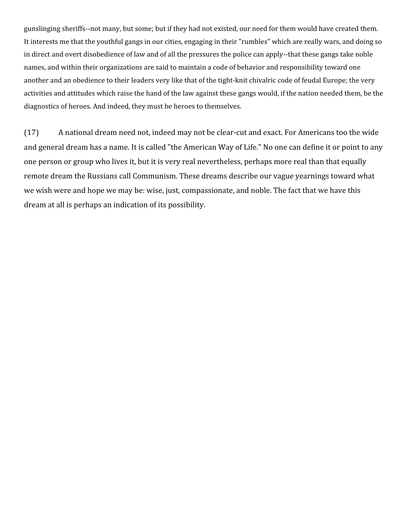gunslinging sheriffs--not many, but some; but if they had not existed, our need for them would have created them. It interests me that the youthful gangs in our cities, engaging in their "rumbles" which are really wars, and doing so in direct and overt disobedience of law and of all the pressures the police can apply--that these gangs take noble names, and within their organizations are said to maintain a code of behavior and responsibility toward one another and an obedience to their leaders very like that of the tight-knit chivalric code of feudal Europe; the very activities and attitudes which raise the hand of the law against these gangs would, if the nation needed them, be the diagnostics of heroes. And indeed, they must be heroes to themselves.

(17) A national dream need not, indeed may not be clear-cut and exact. For Americans too the wide and general dream has a name. It is called "the American Way of Life." No one can define it or point to any one person or group who lives it, but it is very real nevertheless, perhaps more real than that equally remote dream the Russians call Communism. These dreams describe our vague yearnings toward what we wish were and hope we may be: wise, just, compassionate, and noble. The fact that we have this dream at all is perhaps an indication of its possibility.